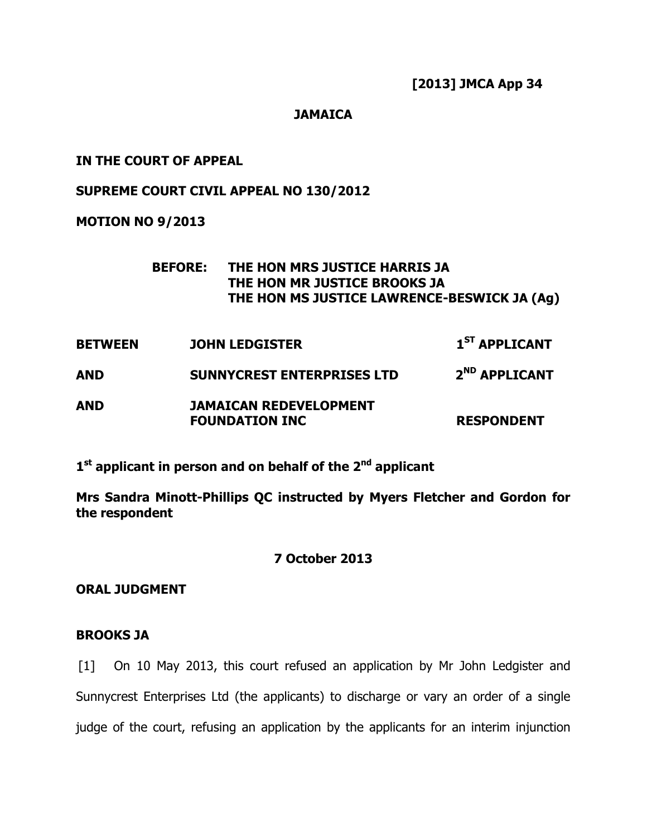[2013] JMCA App 34

### **JAMAICA**

### IN THE COURT OF APPEAL

#### SUPREME COURT CIVIL APPEAL NO 130/2012

#### MOTION NO 9/2013

## BEFORE: THE HON MRS JUSTICE HARRIS JA THE HON MR JUSTICE BROOKS JA THE HON MS JUSTICE LAWRENCE-BESWICK JA (Ag)

| <b>BETWEEN</b> | <b>JOHN LEDGISTER</b>                                  | 1 <sup>ST</sup> APPLICANT |
|----------------|--------------------------------------------------------|---------------------------|
| AND            | <b>SUNNYCREST ENTERPRISES LTD</b>                      | 2 <sup>ND</sup> APPLICANT |
| <b>AND</b>     | <b>JAMAICAN REDEVELOPMENT</b><br><b>FOUNDATION INC</b> | <b>RESPONDENT</b>         |

1<sup>st</sup> applicant in person and on behalf of the 2<sup>nd</sup> applicant

Mrs Sandra Minott-Phillips QC instructed by Myers Fletcher and Gordon for the respondent

### 7 October 2013

### ORAL JUDGMENT

#### BROOKS JA

[1] On 10 May 2013, this court refused an application by Mr John Ledgister and Sunnycrest Enterprises Ltd (the applicants) to discharge or vary an order of a single judge of the court, refusing an application by the applicants for an interim injunction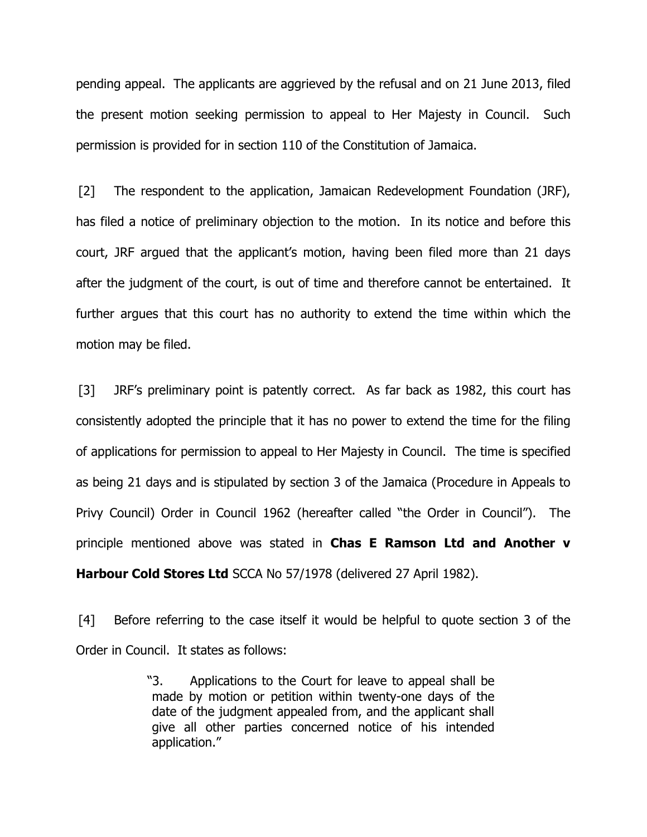pending appeal. The applicants are aggrieved by the refusal and on 21 June 2013, filed the present motion seeking permission to appeal to Her Majesty in Council. Such permission is provided for in section 110 of the Constitution of Jamaica.

[2] The respondent to the application, Jamaican Redevelopment Foundation (JRF), has filed a notice of preliminary objection to the motion. In its notice and before this court, JRF argued that the applicant's motion, having been filed more than 21 days after the judgment of the court, is out of time and therefore cannot be entertained. It further argues that this court has no authority to extend the time within which the motion may be filed.

[3] JRF's preliminary point is patently correct. As far back as 1982, this court has consistently adopted the principle that it has no power to extend the time for the filing of applications for permission to appeal to Her Majesty in Council. The time is specified as being 21 days and is stipulated by section 3 of the Jamaica (Procedure in Appeals to Privy Council) Order in Council 1962 (hereafter called "the Order in Council"). The principle mentioned above was stated in Chas E Ramson Ltd and Another v Harbour Cold Stores Ltd SCCA No 57/1978 (delivered 27 April 1982).

[4] Before referring to the case itself it would be helpful to quote section 3 of the Order in Council. It states as follows:

> "3. Applications to the Court for leave to appeal shall be made by motion or petition within twenty-one days of the date of the judgment appealed from, and the applicant shall give all other parties concerned notice of his intended application."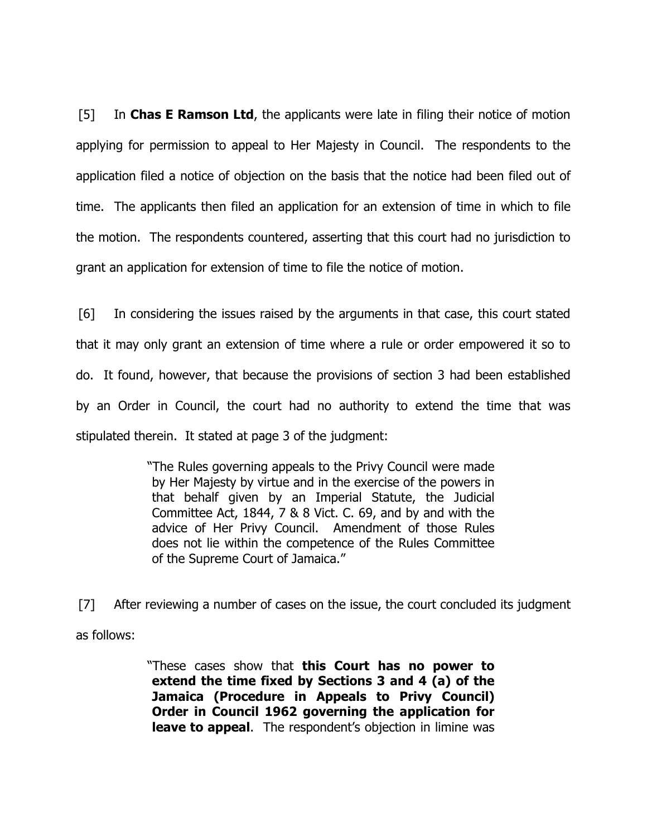[5] In Chas E Ramson Ltd, the applicants were late in filing their notice of motion applying for permission to appeal to Her Majesty in Council. The respondents to the application filed a notice of objection on the basis that the notice had been filed out of time. The applicants then filed an application for an extension of time in which to file the motion. The respondents countered, asserting that this court had no jurisdiction to grant an application for extension of time to file the notice of motion.

[6] In considering the issues raised by the arguments in that case, this court stated that it may only grant an extension of time where a rule or order empowered it so to do. It found, however, that because the provisions of section 3 had been established by an Order in Council, the court had no authority to extend the time that was stipulated therein. It stated at page 3 of the judgment:

> "The Rules governing appeals to the Privy Council were made by Her Majesty by virtue and in the exercise of the powers in that behalf given by an Imperial Statute, the Judicial Committee Act, 1844, 7 & 8 Vict. C. 69, and by and with the advice of Her Privy Council. Amendment of those Rules does not lie within the competence of the Rules Committee of the Supreme Court of Jamaica."

[7] After reviewing a number of cases on the issue, the court concluded its judgment as follows:

> "These cases show that this Court has no power to extend the time fixed by Sections 3 and 4 (a) of the Jamaica (Procedure in Appeals to Privy Council) Order in Council 1962 governing the application for leave to appeal. The respondent's objection in limine was